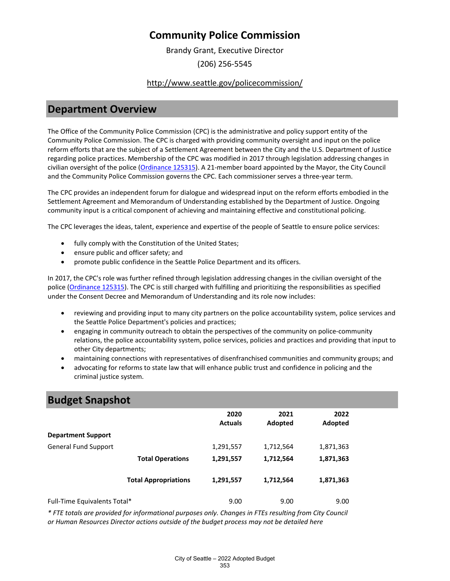Brandy Grant, Executive Director (206) 256-5545

### <http://www.seattle.gov/policecommission/>

### **Department Overview**

The Office of the Community Police Commission (CPC) is the administrative and policy support entity of the Community Police Commission. The CPC is charged with providing community oversight and input on the police reform efforts that are the subject of a Settlement Agreement between the City and the U.S. Department of Justice regarding police practices. Membership of the CPC was modified in 2017 through legislation addressing changes in civilian oversight of the police [\(Ordinance 125315\)](https://seattle.legistar.com/LegislationDetail.aspx?ID). A 21-member board appointed by the Mayor, the City Council and the Community Police Commission governs the CPC. Each commissioner serves a three-year term.

The CPC provides an independent forum for dialogue and widespread input on the reform efforts embodied in the Settlement Agreement and Memorandum of Understanding established by the Department of Justice. Ongoing community input is a critical component of achieving and maintaining effective and constitutional policing.

The CPC leverages the ideas, talent, experience and expertise of the people of Seattle to ensure police services:

- fully comply with the Constitution of the United States;
- ensure public and officer safety; and
- promote public confidence in the Seattle Police Department and its officers.

In 2017, the CPC's role was further refined through legislation addressing changes in the civilian oversight of the police [\(Ordinance 125315\)](https://hostedus8.questica.com/ReportServer?%2FQuestica%2FSeattleProd%2FID). The CPC is still charged with fulfilling and prioritizing the responsibilities as specified under the Consent Decree and Memorandum of Understanding and its role now includes:

- reviewing and providing input to many city partners on the police accountability system, police services and the Seattle Police Department's policies and practices;
- engaging in community outreach to obtain the perspectives of the community on police-community relations, the police accountability system, police services, policies and practices and providing that input to other City departments;
- maintaining connections with representatives of disenfranchised communities and community groups; and
- advocating for reforms to state law that will enhance public trust and confidence in policing and the criminal justice system.

## **Budget Snapshot**

|                              |                             | 2020<br><b>Actuals</b> | 2021<br>Adopted | 2022<br>Adopted |
|------------------------------|-----------------------------|------------------------|-----------------|-----------------|
| <b>Department Support</b>    |                             |                        |                 |                 |
| <b>General Fund Support</b>  |                             | 1,291,557              | 1,712,564       | 1,871,363       |
|                              | <b>Total Operations</b>     | 1,291,557              | 1,712,564       | 1,871,363       |
|                              | <b>Total Appropriations</b> | 1,291,557              | 1,712,564       | 1,871,363       |
| Full-Time Equivalents Total* |                             | 9.00                   | 9.00            | 9.00            |

*\* FTE totals are provided for informational purposes only. Changes in FTEs resulting from City Council or Human Resources Director actions outside of the budget process may not be detailed here*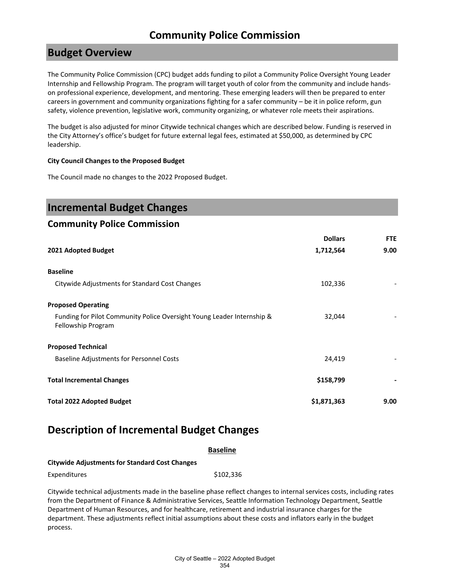### **Budget Overview**

The Community Police Commission (CPC) budget adds funding to pilot a Community Police Oversight Young Leader Internship and Fellowship Program. The program will target youth of color from the community and include handson professional experience, development, and mentoring. These emerging leaders will then be prepared to enter careers in government and community organizations fighting for a safer community – be it in police reform, gun safety, violence prevention, legislative work, community organizing, or whatever role meets their aspirations.

The budget is also adjusted for minor Citywide technical changes which are described below. Funding is reserved in the City Attorney's office's budget for future external legal fees, estimated at \$50,000, as determined by CPC leadership.

#### **City Council Changes to the Proposed Budget**

The Council made no changes to the 2022 Proposed Budget.

| <b>Incremental Budget Changes</b>                                                            |                |            |
|----------------------------------------------------------------------------------------------|----------------|------------|
| <b>Community Police Commission</b>                                                           |                |            |
|                                                                                              | <b>Dollars</b> | <b>FTE</b> |
| 2021 Adopted Budget                                                                          | 1,712,564      | 9.00       |
| <b>Baseline</b>                                                                              |                |            |
| Citywide Adjustments for Standard Cost Changes                                               | 102,336        |            |
| <b>Proposed Operating</b>                                                                    |                |            |
| Funding for Pilot Community Police Oversight Young Leader Internship &<br>Fellowship Program | 32,044         |            |
| <b>Proposed Technical</b>                                                                    |                |            |
| <b>Baseline Adjustments for Personnel Costs</b>                                              | 24,419         |            |
| <b>Total Incremental Changes</b>                                                             | \$158,799      |            |
| <b>Total 2022 Adopted Budget</b>                                                             | \$1,871,363    | 9.00       |

## **Description of Incremental Budget Changes**

|                                                       | <b>Baseline</b> |
|-------------------------------------------------------|-----------------|
| <b>Citywide Adjustments for Standard Cost Changes</b> |                 |
| <b>Expenditures</b>                                   | \$102.336       |

Citywide technical adjustments made in the baseline phase reflect changes to internal services costs, including rates from the Department of Finance & Administrative Services, Seattle Information Technology Department, Seattle Department of Human Resources, and for healthcare, retirement and industrial insurance charges for the department. These adjustments reflect initial assumptions about these costs and inflators early in the budget process.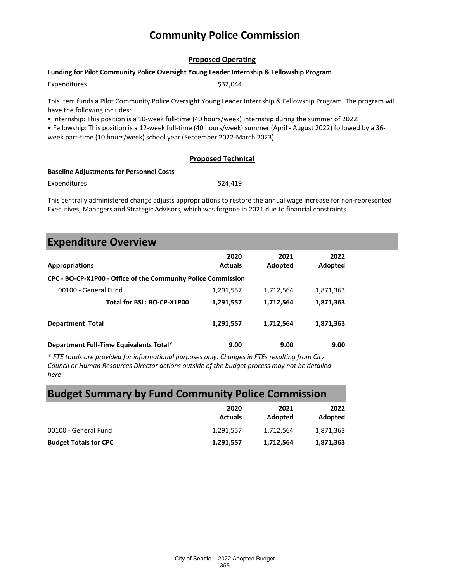#### **Proposed Operating**

#### **Funding for Pilot Community Police Oversight Young Leader Internship & Fellowship Program**

Expenditures \$32,044

This item funds a Pilot Community Police Oversight Young Leader Internship & Fellowship Program. The program will have the following includes:

• Internship: This position is a 10-week full-time (40 hours/week) internship during the summer of 2022.

• Fellowship: This position is a 12-week full-time (40 hours/week) summer (April - August 2022) followed by a 36 week part-time (10 hours/week) school year (September 2022-March 2023).

#### **Proposed Technical**

#### **Baseline Adjustments for Personnel Costs**

Expenditures \$24,419

This centrally administered change adjusts appropriations to restore the annual wage increase for non-represented Executives, Managers and Strategic Advisors, which was forgone in 2021 due to financial constraints.

### **Expenditure Overview**

| <b>Appropriations</b>                                         | 2020<br><b>Actuals</b> | 2021<br>Adopted | 2022<br>Adopted |  |
|---------------------------------------------------------------|------------------------|-----------------|-----------------|--|
| CPC - BO-CP-X1P00 - Office of the Community Police Commission |                        |                 |                 |  |
| 00100 - General Fund                                          | 1,291,557              | 1,712,564       | 1,871,363       |  |
| Total for BSL: BO-CP-X1P00                                    | 1,291,557              | 1,712,564       | 1,871,363       |  |
| <b>Department Total</b>                                       | 1,291,557              | 1,712,564       | 1,871,363       |  |
| Department Full-Time Equivalents Total*                       | 9.00                   | 9.00            | 9.00            |  |

*\* FTE totals are provided for informational purposes only. Changes in FTEs resulting from City Council or Human Resources Director actions outside of the budget process may not be detailed here*

# **Budget Summary by Fund Community Police Commission**

|                              | 2020<br><b>Actuals</b> | 2021<br>Adopted | 2022<br>Adopted |
|------------------------------|------------------------|-----------------|-----------------|
| 00100 - General Fund         | 1.291.557              | 1.712.564       | 1,871,363       |
| <b>Budget Totals for CPC</b> | 1,291,557              | 1,712,564       | 1,871,363       |